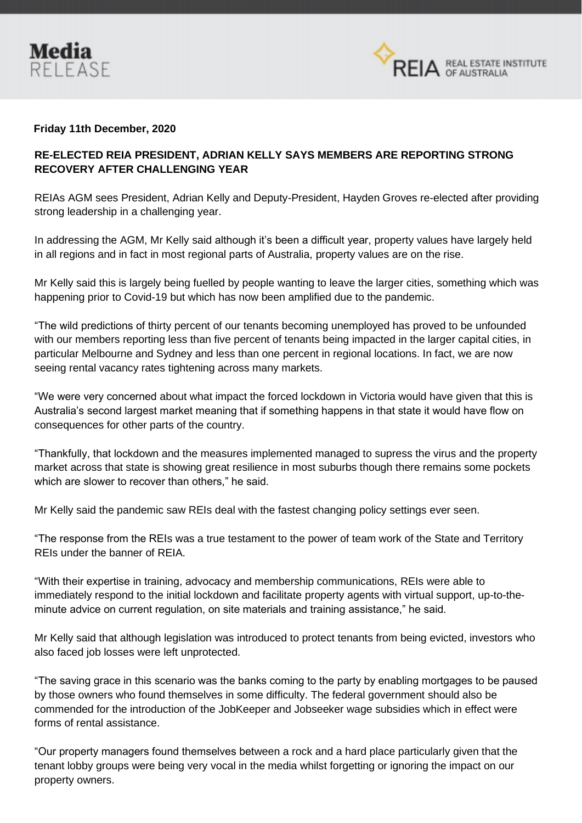



## **Friday 11th December, 2020**

## **RE-ELECTED REIA PRESIDENT, ADRIAN KELLY SAYS MEMBERS ARE REPORTING STRONG RECOVERY AFTER CHALLENGING YEAR**

REIAs AGM sees President, Adrian Kelly and Deputy-President, Hayden Groves re-elected after providing strong leadership in a challenging year.

In addressing the AGM, Mr Kelly said although it's been a difficult year, property values have largely held in all regions and in fact in most regional parts of Australia, property values are on the rise.

Mr Kelly said this is largely being fuelled by people wanting to leave the larger cities, something which was happening prior to Covid-19 but which has now been amplified due to the pandemic.

"The wild predictions of thirty percent of our tenants becoming unemployed has proved to be unfounded with our members reporting less than five percent of tenants being impacted in the larger capital cities, in particular Melbourne and Sydney and less than one percent in regional locations. In fact, we are now seeing rental vacancy rates tightening across many markets.

"We were very concerned about what impact the forced lockdown in Victoria would have given that this is Australia's second largest market meaning that if something happens in that state it would have flow on consequences for other parts of the country.

"Thankfully, that lockdown and the measures implemented managed to supress the virus and the property market across that state is showing great resilience in most suburbs though there remains some pockets which are slower to recover than others," he said.

Mr Kelly said the pandemic saw REIs deal with the fastest changing policy settings ever seen.

"The response from the REIs was a true testament to the power of team work of the State and Territory REIs under the banner of REIA.

"With their expertise in training, advocacy and membership communications, REIs were able to immediately respond to the initial lockdown and facilitate property agents with virtual support, up-to-theminute advice on current regulation, on site materials and training assistance," he said.

Mr Kelly said that although legislation was introduced to protect tenants from being evicted, investors who also faced job losses were left unprotected.

"The saving grace in this scenario was the banks coming to the party by enabling mortgages to be paused by those owners who found themselves in some difficulty. The federal government should also be commended for the introduction of the JobKeeper and Jobseeker wage subsidies which in effect were forms of rental assistance.

"Our property managers found themselves between a rock and a hard place particularly given that the tenant lobby groups were being very vocal in the media whilst forgetting or ignoring the impact on our property owners.